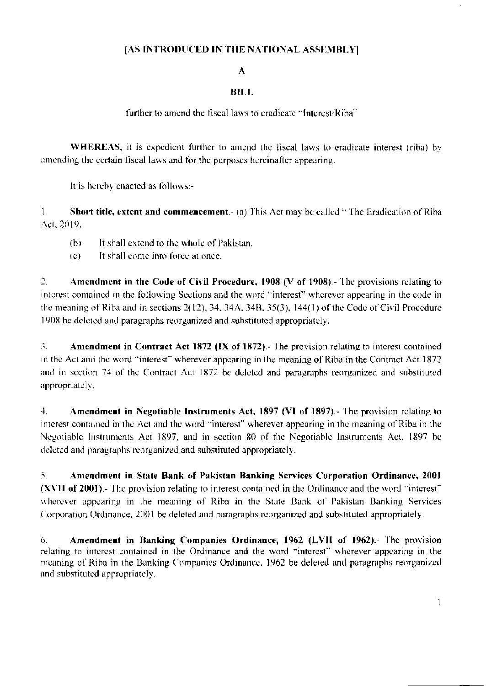## [AS INTRODUCED IN THE NATIONAL ASSEMBLY]

#### $\Lambda$

#### BILL

### further to amend the fiscal laws to eradicate "Interest/Riba"

**WHEREAS**, it is expedient further to amend the fiscal laws to eradicate interest (riba) by amending the certain fiscal laws and for the purposes hereinafter appearing.

It is hereby enacted as follows:-

 $1_{-}$ Short title, extent and commencement.- (a) This Act may be called "The Eradication of Riba Act, 2019.

- It shall extend to the whole of Pakistan.  $(b)$
- $(c)$ It shall come into force at once.

 $\overline{2}$ . Amendment in the Code of Civil Procedure, 1908 (V of 1908).- The provisions relating to interest contained in the following Sections and the word "interest" wherever appearing in the code in the meaning of Riba and in sections  $2(12)$ , 34, 34A, 34B, 35(3), 144(1) of the Code of Civil Procedure 1908 be deleted and paragraphs reorganized and substituted appropriately.

3. **Amendment in Contract Act 1872 (IX of 1872).** The provision relating to interest contained in the Act and the word "interest" wherever appearing in the meaning of Riba in the Contract Act 1872 and in section 74 of the Contract Act 1872 be deleted and paragraphs reorganized and substituted appropriately.

 $4.$ Amendment in Negotiable Instruments Act, 1897 (VI of 1897).- The provision relating to interest contained in the Act and the word "interest" wherever appearing in the meaning of Riba in the Negotiable Instruments Act 1897, and in section 80 of the Negotiable Instruments Act, 1897 be deleted and paragraphs reorganized and substituted appropriately.

5. Amendment in State Bank of Pakistan Banking Services Corporation Ordinance, 2001 (XVII of 2001). The provision relating to interest contained in the Ordinance and the word "interest" wherever appearing in the meaning of Riba in the State Bank of Pakistan Banking Services Corporation Ordinance, 2001 be deleted and paragraphs reorganized and substituted appropriately.

Amendment in Banking Companies Ordinance, 1962 (LVII of 1962).- The provision  $6<sub>1</sub>$ relating to interest contained in the Ordinance and the word "interest" wherever appearing in the meaning of Riba in the Banking Companies Ordinance, 1962 be deleted and paragraphs reorganized and substituted appropriately.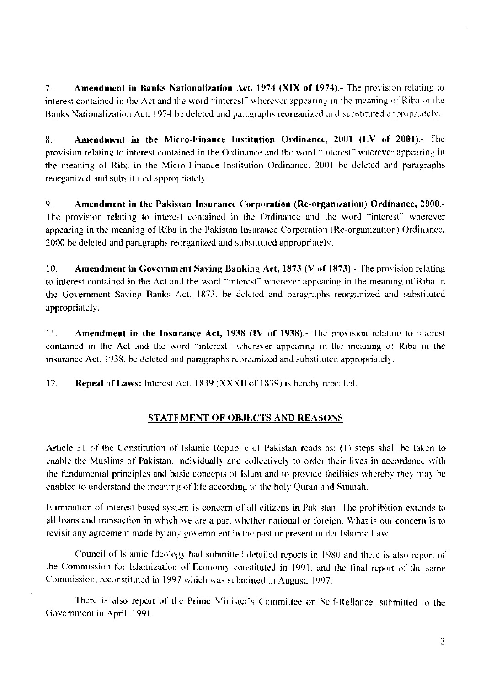Amendment in Banks Nationalization Act, 1974 (XIX of 1974).- The provision relating to  $7<sub>1</sub>$ interest contained in the Act and the word "interest" wherever appearing in the meaning of Riba in the Banks Nationalization Act, 1974 be deleted and paragraphs reorganized and substituted appropriately.

Amendment in the Micro-Finance Institution Ordinance, 2001 (LV of 2001). The 8. provision relating to interest contained in the Ordinance and the word "interest" wherever appearing in the meaning of Riba in the Micro-Finance Institution Ordinance, 2001 be deleted and paragraphs reorganized and substituted appropriately.

9. Amendment in the Pakistan Insurance Corporation (Re-organization) Ordinance, 2000.-The provision relating to interest contained in the Ordinance and the word "interest" wherever appearing in the meaning of Riba in the Pakistan Insurance Corporation (Re-organization) Ordinance. 2000 be deleted and paragraphs reorganized and substituted appropriately.

 $10.$ **Amendment in Government Saving Banking Act, 1873 (V of 1873).** The provision relating to interest contained in the Act and the word "interest" wherever appearing in the meaning of Riba in the Government Saving Banks Act, 1873, be deleted and paragraphs reorganized and substituted appropriately.

 $11.$ Amendment in the Insurance Act, 1938 (IV of 1938).- The provision relating to interest contained in the Act and the word "interest" wherever appearing in the meaning of Riba in the insurance Act, 1938, be deleted and paragraphs reorganized and substituted appropriately.

 $12.$ Repeal of Laws: Interest Act, 1839 (XXXII of 1839) is hereby repealed.

# **STATEMENT OF OBJECTS AND REASONS**

Article 31 of the Constitution of Islamic Republic of Pakistan reads as: (1) steps shall be taken to enable the Muslims of Pakistan, ndividually and collectively to order their lives in accordance with the fundamental principles and basic concepts of Islam and to provide facilities whereby they may be enabled to understand the meaning of life according to the holy Quran and Sunnah.

Elimination of interest based system is concern of all citizens in Pakistan. The prohibition extends to all loans and transaction in which we are a part whether national or foreign. What is our concern is to revisit any agreement made by any government in the past or present under Islamic Law.

Council of Islamic Ideology had submitted detailed reports in 1980 and there is also report of the Commission for Islamization of Economy constituted in 1991, and the final report of the same Commission, reconstituted in 1997 which was submitted in August, 1997.

There is also report of the Prime Minister's Committee on Self-Reliance, submitted to the Government in April, 1991.